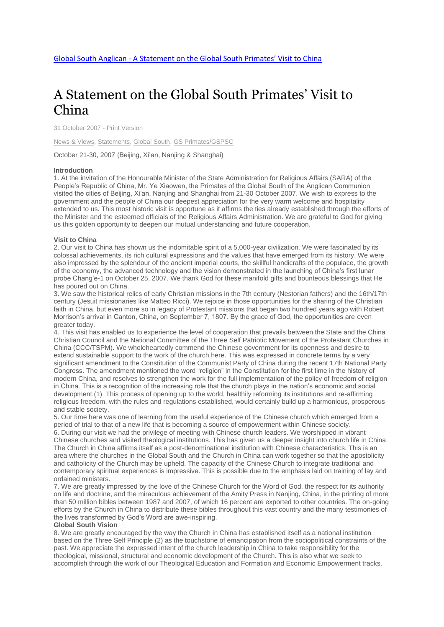# A [Statement](http://www.globalsouthanglican.org/index.php/blog/comments/a_statement_on_the_global_south_primates_visit_to_china) on the Global South Primates' Visit to [China](http://www.globalsouthanglican.org/index.php/blog/comments/a_statement_on_the_global_south_primates_visit_to_china)

31 October 2007 - Print [Version](http://globalsouthanglican.org/index.php/blog/printing/a_statement_on_the_global_south_primates_visit_to_china)

News & [Views,](http://globalsouthanglican.org/index.php/archives/category/news_views) [Statements,](http://globalsouthanglican.org/index.php/archives/category/statements) [Global](http://globalsouthanglican.org/index.php/archives/category/global_south) South, GS [Primates/GSPSC](http://globalsouthanglican.org/index.php/archives/category/gs_primates_gspsc)

October 21-30, 2007 (Beijing, Xi'an, Nanjing & Shanghai)

#### **Introduction**

1. At the invitation of the Honourable Minister of the State Administration for Religious Affairs (SARA) of the People's Republic of China, Mr. Ye Xiaowen, the Primates of the Global South of the Anglican Communion visited the cities of Beijing, Xi'an, Nanjing and Shanghai from 21-30 October 2007. We wish to express to the government and the people of China our deepest appreciation for the very warm welcome and hospitality extended to us. This most historic visit is opportune as it affirms the ties already established through the efforts of the Minister and the esteemed officials of the Religious Affairs Administration. We are grateful to God for giving us this golden opportunity to deepen our mutual understanding and future cooperation.

#### **Visit to China**

2. Our visit to China has shown us the indomitable spirit of a 5,000-year civilization. We were fascinated by its colossal achievements, its rich cultural expressions and the values that have emerged from its history. We were also impressed by the splendour of the ancient imperial courts, the skillful handicrafts of the populace, the growth of the economy, the advanced technology and the vision demonstrated in the launching of China's first lunar probe Chang'e-1 on October 25, 2007. We thank God for these manifold gifts and bounteous blessings that He has poured out on China.

3. We saw the historical relics of early Christian missions in the 7th century (Nestorian fathers) and the 16th/17th century (Jesuit missionaries like Matteo Ricci). We rejoice in those opportunities for the sharing of the Christian faith in China, but even more so in legacy of Protestant missions that began two hundred years ago with Robert Morrison's arrival in Canton, China, on September 7, 1807. By the grace of God, the opportunities are even greater today.

4. This visit has enabled us to experience the level of cooperation that prevails between the State and the China Christian Council and the National Committee of the Three Self Patriotic Movement of the Protestant Churches in China (CCC/TSPM). We wholeheartedly commend the Chinese government for its openness and desire to extend sustainable support to the work of the church here. This was expressed in concrete terms by a very significant amendment to the Constitution of the Communist Party of China during the recent 17th National Party Congress. The amendment mentioned the word "religion" in the Constitution for the first time in the history of modern China, and resolves to strengthen the work for the full implementation of the policy of freedom of religion in China. This is a recognition of the increasing role that the church plays in the nation's economic and social development.(1) This process of opening up to the world, healthily reforming its institutions and re-affirming religious freedom, with the rules and regulations established, would certainly build up a harmonious, prosperous and stable society.

5. Our time here was one of learning from the useful experience of the Chinese church which emerged from a period of trial to that of a new life that is becoming a source of empowerment within Chinese society.

6. During our visit we had the privilege of meeting with Chinese church leaders. We worshipped in vibrant Chinese churches and visited theological institutions. This has given us a deeper insight into church life in China. The Church in China affirms itself as a post-denominational institution with Chinese characteristics. This is an area where the churches in the Global South and the Church in China can work together so that the apostolicity and catholicity of the Church may be upheld. The capacity of the Chinese Church to integrate traditional and contemporary spiritual experiences is impressive. This is possible due to the emphasis laid on training of lay and ordained ministers.

7. We are greatly impressed by the love of the Chinese Church for the Word of God, the respect for its authority on life and doctrine, and the miraculous achievement of the Amity Press in Nanjing, China, in the printing of more than 50 million bibles between 1987 and 2007, of which 16 percent are exported to other countries. The on-going efforts by the Church in China to distribute these bibles throughout this vast country and the many testimonies of the lives transformed by God's Word are awe-inspiring.

## **Global South Vision**

8. We are greatly encouraged by the way the Church in China has established itself as a national institution based on the Three Self Principle (2) as the touchstone of emancipation from the sociopolitical constraints of the past. We appreciate the expressed intent of the church leadership in China to take responsibility for the theological, missional, structural and economic development of the Church. This is also what we seek to accomplish through the work of our Theological Education and Formation and Economic Empowerment tracks.